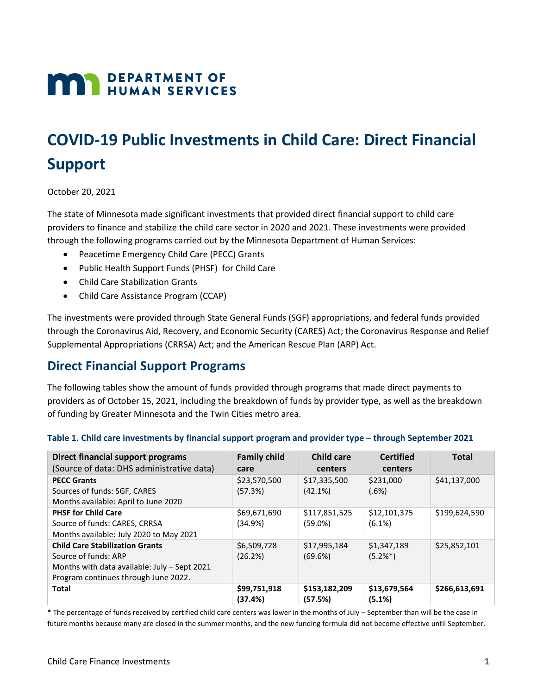# **MAN** DEPARTMENT OF

# **COVID-19 Public Investments in Child Care: Direct Financial Support**

October 20, 2021

The state of Minnesota made significant investments that provided direct financial support to child care providers to finance and stabilize the child care sector in 2020 and 2021. These investments were provided through the following programs carried out by the Minnesota Department of Human Services:

- Peacetime Emergency Child Care (PECC) Grants
- Public Health Support Funds (PHSF) for Child Care
- Child Care Stabilization Grants
- Child Care Assistance Program (CCAP)

The investments were provided through State General Funds (SGF) appropriations, and federal funds provided through the Coronavirus Aid, Recovery, and Economic Security (CARES) Act; the Coronavirus Response and Relief Supplemental Appropriations (CRRSA) Act; and the American Rescue Plan (ARP) Act.

### **Direct Financial Support Programs**

The following tables show the amount of funds provided through programs that made direct payments to providers as of October 15, 2021, including the breakdown of funds by provider type, as well as the breakdown of funding by Greater Minnesota and the Twin Cities metro area.

| Direct financial support programs<br>(Source of data: DHS administrative data)                                                                         | <b>Family child</b><br>care | <b>Child care</b><br>centers | <b>Certified</b><br>centers | <b>Total</b>  |
|--------------------------------------------------------------------------------------------------------------------------------------------------------|-----------------------------|------------------------------|-----------------------------|---------------|
| <b>PECC Grants</b><br>Sources of funds: SGF, CARES<br>Months available: April to June 2020                                                             | \$23,570,500<br>(57.3%)     | \$17,335,500<br>(42.1%)      | \$231,000<br>(.6%)          | \$41,137,000  |
| <b>PHSF for Child Care</b><br>Source of funds: CARES, CRRSA<br>Months available: July 2020 to May 2021                                                 | \$69,671,690<br>(34.9%)     | \$117,851,525<br>$(59.0\%)$  | \$12,101,375<br>$(6.1\%)$   | \$199,624,590 |
| <b>Child Care Stabilization Grants</b><br>Source of funds: ARP<br>Months with data available: July - Sept 2021<br>Program continues through June 2022. | \$6,509,728<br>(26.2%)      | \$17,995,184<br>(69.6%)      | \$1,347,189<br>$(5.2\%*)$   | \$25,852,101  |
| <b>Total</b>                                                                                                                                           | \$99,751,918<br>(37.4%)     | \$153,182,209<br>(57.5%)     | \$13,679,564<br>(5.1%)      | \$266,613,691 |

#### **Table 1. Child care investments by financial support program and provider type – through September 2021**

\* The percentage of funds received by certified child care centers was lower in the months of July – September than will be the case in future months because many are closed in the summer months, and the new funding formula did not become effective until September.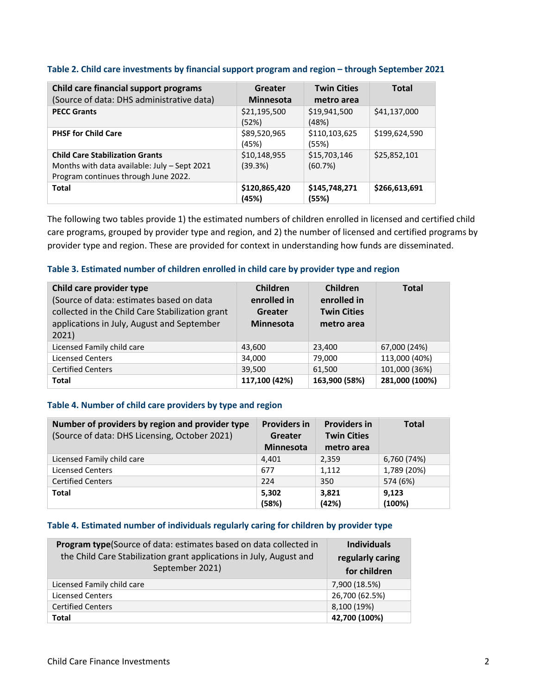| Child care financial support programs<br>(Source of data: DHS administrative data)                                             | Greater<br><b>Minnesota</b> | <b>Twin Cities</b><br>metro area | <b>Total</b>  |
|--------------------------------------------------------------------------------------------------------------------------------|-----------------------------|----------------------------------|---------------|
| <b>PECC Grants</b>                                                                                                             | \$21,195,500<br>(52%)       | \$19,941,500<br>(48%)            | \$41,137,000  |
| <b>PHSF for Child Care</b>                                                                                                     | \$89,520,965<br>(45%)       | \$110,103,625<br>(55%)           | \$199,624,590 |
| <b>Child Care Stabilization Grants</b><br>Months with data available: July - Sept 2021<br>Program continues through June 2022. | \$10,148,955<br>(39.3%)     | \$15,703,146<br>(60.7%)          | \$25,852,101  |
| <b>Total</b>                                                                                                                   | \$120,865,420<br>(45%)      | \$145,748,271<br>(55%)           | \$266,613,691 |

#### **Table 2. Child care investments by financial support program and region – through September 2021**

The following two tables provide 1) the estimated numbers of children enrolled in licensed and certified child care programs, grouped by provider type and region, and 2) the number of licensed and certified programs by provider type and region. These are provided for context in understanding how funds are disseminated.

#### **Table 3. Estimated number of children enrolled in child care by provider type and region**

| Child care provider type<br>(Source of data: estimates based on data<br>collected in the Child Care Stabilization grant<br>applications in July, August and September<br>2021) | <b>Children</b><br>enrolled in<br>Greater<br><b>Minnesota</b> | Children<br>enrolled in<br><b>Twin Cities</b><br>metro area | <b>Total</b>   |
|--------------------------------------------------------------------------------------------------------------------------------------------------------------------------------|---------------------------------------------------------------|-------------------------------------------------------------|----------------|
| Licensed Family child care                                                                                                                                                     | 43,600                                                        | 23,400                                                      | 67,000 (24%)   |
| <b>Licensed Centers</b>                                                                                                                                                        | 34,000                                                        | 79,000                                                      | 113,000 (40%)  |
| <b>Certified Centers</b>                                                                                                                                                       | 39,500                                                        | 61,500                                                      | 101,000 (36%)  |
| <b>Total</b>                                                                                                                                                                   | 117,100 (42%)                                                 | 163,900 (58%)                                               | 281,000 (100%) |

#### **Table 4. Number of child care providers by type and region**

| Number of providers by region and provider type | <b>Providers in</b> | <b>Providers in</b> | <b>Total</b>    |
|-------------------------------------------------|---------------------|---------------------|-----------------|
| (Source of data: DHS Licensing, October 2021)   | <b>Greater</b>      | <b>Twin Cities</b>  |                 |
|                                                 | <b>Minnesota</b>    | metro area          |                 |
| Licensed Family child care                      | 4.401               | 2,359               | 6,760 (74%)     |
| <b>Licensed Centers</b>                         | 677                 | 1,112               | 1,789 (20%)     |
| <b>Certified Centers</b>                        | 224                 | 350                 | 574 (6%)        |
| <b>Total</b>                                    | 5,302<br>(58%)      | 3,821<br>(42%)      | 9,123<br>(100%) |

#### **Table 4. Estimated number of individuals regularly caring for children by provider type**

| Program type(Source of data: estimates based on data collected in<br>the Child Care Stabilization grant applications in July, August and<br>September 2021) | <b>Individuals</b><br>regularly caring<br>for children |
|-------------------------------------------------------------------------------------------------------------------------------------------------------------|--------------------------------------------------------|
| Licensed Family child care                                                                                                                                  | 7,900 (18.5%)                                          |
| <b>Licensed Centers</b>                                                                                                                                     | 26,700 (62.5%)                                         |
| <b>Certified Centers</b>                                                                                                                                    | 8,100 (19%)                                            |
| <b>Total</b>                                                                                                                                                | 42,700 (100%)                                          |